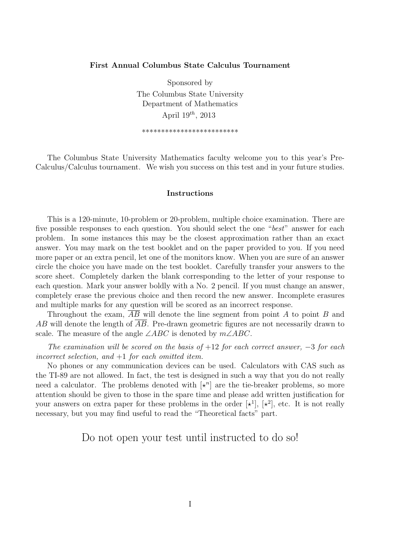## **First Annual Columbus State Calculus Tournament**

Sponsored by The Columbus State University Department of Mathematics April 19*th*, 2013

\*\*\*\*\*\*\*\*\*\*\*\*\*\*\*\*\*\*\*\*\*\*\*\*\*

The Columbus State University Mathematics faculty welcome you to this year's Pre-Calculus/Calculus tournament. We wish you success on this test and in your future studies.

## **Instructions**

This is a 120-minute, 10-problem or 20-problem, multiple choice examination. There are five possible responses to each question. You should select the one "*best*" answer for each problem. In some instances this may be the closest approximation rather than an exact answer. You may mark on the test booklet and on the paper provided to you. If you need more paper or an extra pencil, let one of the monitors know. When you are sure of an answer circle the choice you have made on the test booklet. Carefully transfer your answers to the score sheet. Completely darken the blank corresponding to the letter of your response to each question. Mark your answer boldly with a No. 2 pencil. If you must change an answer, completely erase the previous choice and then record the new answer. Incomplete erasures and multiple marks for any question will be scored as an incorrect response.

Throughout the exam, *AB* will denote the line segment from point *A* to point *B* and *AB* will denote the length of *AB*. Pre-drawn geometric figures are not necessarily drawn to scale. The measure of the angle ∠*ABC* is denoted by *m*∠*ABC*.

*The examination will be scored on the basis of* +12 *for each correct answer, −*3 *for each incorrect selection, and* +1 *for each omitted item.*

No phones or any communication devices can be used. Calculators with CAS such as the TI-89 are not allowed. In fact, the test is designed in such a way that you do not really need a calculator. The problems denoted with  $\left[\star^n\right]$  are the tie-breaker problems, so more attention should be given to those in the spare time and please add written justification for your answers on extra paper for these problems in the order  $[*^1]$ ,  $[*^2]$ , etc. It is not really necessary, but you may find useful to read the "Theoretical facts" part.

Do not open your test until instructed to do so!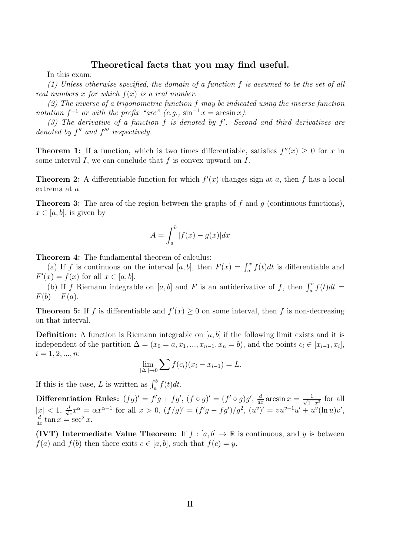## **Theoretical facts that you may find useful.**

In this exam:

*(1) Unless otherwise specified, the domain of a function f is assumed to be the set of all real numbers x for which f*(*x*) *is a real number.*

*(2) The inverse of a trigonometric function f may be indicated using the inverse function notation*  $f^{-1}$  *or with the prefix "arc"* (*e.g.,*  $\sin^{-1} x = \arcsin x$ ).

*(3) The derivative of a function f is denoted by f ′ . Second and third derivatives are denoted by f ′′ and f ′′′ respectively.*

**Theorem 1:** If a function, which is two times differentiable, satisfies  $f''(x) \geq 0$  for *x* in some interval *I*, we can conclude that *f* is convex upward on *I*.

**Theorem 2:** A differentiable function for which  $f'(x)$  changes sign at *a*, then *f* has a local extrema at *a*.

**Theorem 3:** The area of the region between the graphs of *f* and *g* (continuous functions),  $x \in [a, b]$ , is given by

$$
A = \int_{a}^{b} |f(x) - g(x)| dx
$$

**Theorem 4:** The fundamental theorem of calculus:

(a) If *f* is continuous on the interval [a, b], then  $F(x) = \int_a^x f(t)dt$  is differentiable and  $F'(x) = f(x)$  for all  $x \in [a, b]$ .

(b) If *f* Riemann integrable on [*a, b*] and *F* is an antiderivative of *f*, then  $\int_a^b f(t)dt =$  $F(b) - F(a)$ .

**Theorem 5:** If *f* is differentiable and  $f'(x) \ge 0$  on some interval, then *f* is non-decreasing on that interval.

**Definition:** A function is Riemann integrable on [a, b] if the following limit exists and it is independent of the partition  $\Delta = (x_0 = a, x_1, ..., x_{n-1}, x_n = b)$ , and the points  $c_i \in [x_{i-1}, x_i]$ ,  $i = 1, 2, ..., n$ 

$$
\lim_{||\Delta|| \to 0} \sum f(c_i)(x_i - x_{i-1}) = L.
$$

If this is the case, *L* is written as  $\int_a^b f(t)dt$ .

**Differentiation Rules:**  $(fg)' = f'g + fg'$ ,  $(f \circ g)' = (f' \circ g)g'$ ,  $\frac{d}{dx} \arcsin x = \frac{1}{\sqrt{1-\frac{1}{\sqrt{1-\frac{1}{n}}}}}$  $\frac{1}{1-x^2}$  for all  $|x| < 1$ ,  $\frac{d}{dx}x^{\alpha} = \alpha x^{\alpha-1}$  for all  $x > 0$ ,  $(f/g)' = (f'g - fg')/g^2$ ,  $(u^v)' = vu^{v-1}u' + u^v(\ln u)v'$ ,  $\frac{d}{dx}$  tan  $x = \sec^2 x$ .

**(IVT)** Intermediate Value Theorem: If  $f : [a, b] \rightarrow \mathbb{R}$  is continuous, and *y* is between *f*(*a*) and *f*(*b*) then there exits  $c \in [a, b]$ , such that  $f(c) = y$ .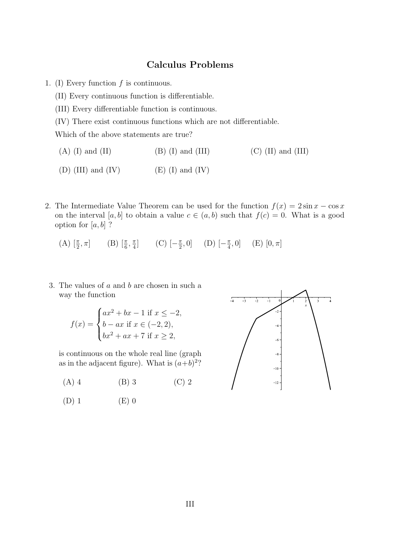## **Calculus Problems**

- 1. (I) Every function *f* is continuous.
	- (II) Every continuous function is differentiable.
	- (III) Every differentiable function is continuous.
	- (IV) There exist continuous functions which are not differentiable.

Which of the above statements are true?

- (A) (I) and (II)  $(B)$  (I) and (III)  $(C)$  (II) and (III)
- (D) (III) and (IV)  $(E)$  (E) (I) and (IV)
- 2. The Intermediate Value Theorem can be used for the function  $f(x) = 2 \sin x \cos x$ on the interval [a, b] to obtain a value  $c \in (a, b)$  such that  $f(c) = 0$ . What is a good option for  $[a, b]$  ?

(A)  $\left[\frac{\pi}{2}, \pi\right]$  (B)  $\left[\frac{\pi}{6}, \frac{\pi}{4}\right]$  $\frac{\pi}{4}$ ] (C)  $\left[-\frac{\pi}{2}\right]$  $(\frac{\pi}{2}, 0]$  (D)  $[-\frac{\pi}{4}]$  $(\frac{\pi}{4}, 0]$  (E)  $[0, \pi]$ 

3. The values of *a* and *b* are chosen in such a way the function

$$
f(x) = \begin{cases} ax^2 + bx - 1 \text{ if } x \le -2, \\ b - ax \text{ if } x \in (-2, 2), \\ bx^2 + ax + 7 \text{ if } x \ge 2, \end{cases}
$$

is continuous on the whole real line (graph as in the adjacent figure). What is  $(a+b)^2$ ?

- (A) 4 (B) 3 (C) 2
- $(D) 1$   $(E) 0$

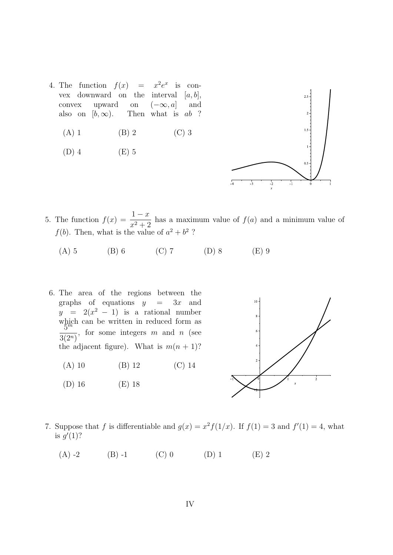- 4. The function  $f(x) = x^2 e^x$  is convex downward on the interval  $[a, b]$ , convex upward on  $(-\infty, a]$  and<br>also on  $[b, \infty)$ . Then what is *ab* ? Then what is *ab* ?
	- (A) 1 (B) 2 (C) 3
	- $(D)$  4  $(E)$  5



- 5. The function  $f(x) = \frac{1-x}{2+x^2}$  $\frac{1}{x^2+2}$  has a maximum value of  $f(a)$  and a minimum value of  $f(b)$ . Then, what is the value of  $a^2 + b^2$ ?
	- (A) 5 (B) 6 (C) 7 (D) 8 (E) 9
	- 6. The area of the regions between the graphs of equations  $y = 3x$  and  $y = 2(x^2 - 1)$  is a rational number which can be written in reduced form as 5 *m*  $\frac{3}{3(2^n)}$ , for some integers *m* and *n* (see the adjacent figure). What is  $m(n + 1)$ ?
		- (A) 10 (B) 12 (C) 14
		- (D) 16 (E) 18



- 7. Suppose that *f* is differentiable and  $g(x) = x^2 f(1/x)$ . If  $f(1) = 3$  and  $f'(1) = 4$ , what is  $g'(1)$ ?
	- (A) -2 (B) -1 (C) 0 (D) 1 (E) 2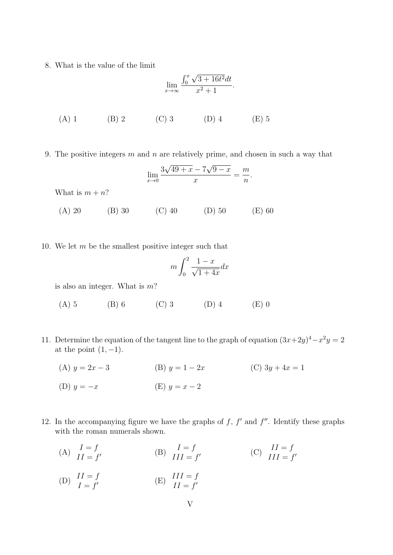8. What is the value of the limit

lim*<sup>x</sup>→∞* ∫ *<sup>x</sup>* 0 *√* 3 + 16*t* <sup>2</sup>*dt x* <sup>2</sup> + 1 *.* (A) 1 (B) 2 (C) 3 (D) 4 (E) 5

9. The positive integers *m* and *n* are relatively prime, and chosen in such a way that

$$
\lim_{x \to 0} \frac{3\sqrt{49 + x} - 7\sqrt{9 - x}}{x} = \frac{m}{n}.
$$

What is  $m + n$ ?

(A) 20 (B) 30 (C) 40 (D) 50 (E) 60

10. We let *m* be the smallest positive integer such that

$$
m\int_0^2 \frac{1-x}{\sqrt{1+4x}}dx
$$

is also an integer. What is *m*?

- (A) 5 (B) 6 (C) 3 (D) 4 (E) 0
- 11. Determine the equation of the tangent line to the graph of equation  $(3x+2y)^4 x^2y = 2$ at the point  $(1, -1)$ .
	- (A)  $y = 2x 3$  (B)  $y = 1 2x$  (C)  $3y + 4x = 1$ (D)  $y = -x$  (E)  $y = x - 2$
- 12. In the accompanying figure we have the graphs of  $f$ ,  $f'$  and  $f''$ . Identify these graphs with the roman numerals shown.
	- (A)  $\frac{I=f}{II=f'}$ (B)  $\frac{I=f}{III=f'}$ (C)  $\frac{II = f}{III = f'}$ (D)  $\begin{array}{c} II = f \\ I = f' \end{array}$ (E)  $\frac{III = f}{II = f'}$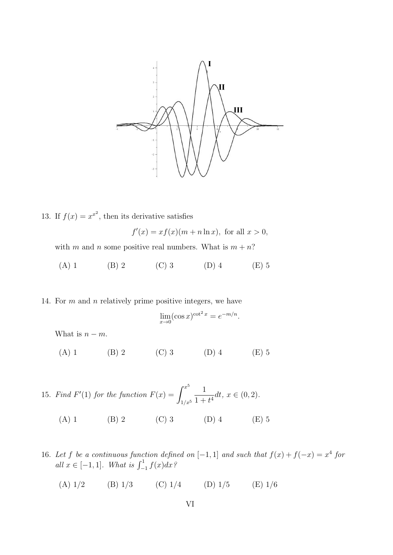

13. If  $f(x) = x^x$ , then its derivative satisfies

 $f'(x) = xf(x)(m + n \ln x)$ , for all  $x > 0$ ,

with *m* and *n* some positive real numbers. What is  $m + n$ ?

(A) 1 (B) 2 (C) 3 (D) 4 (E) 5

14. For *m* and *n* relatively prime positive integers, we have

$$
\lim_{x \to 0} (\cos x)^{\cot^2 x} = e^{-m/n}.
$$

What is  $n - m$ .

(A) 1 (B) 2 (C) 3 (D) 4 (E) 5

15. *Find*  $F'(1)$  *for the function*  $F(x) = \int^{x^5}$ 1*/x*<sup>5</sup> 1  $\frac{1}{1+t^4}dt, x \in (0,2).$ (A) 1 (B) 2 (C) 3 (D) 4 (E) 5

16. Let *f* be a continuous function defined on  $[-1, 1]$  and such that  $f(x) + f(-x) = x^4$  for  $all \ x \in [-1, 1]$ *. What is*  $\int_{-1}^{1} f(x) dx$ ?

(A)  $1/2$  (B)  $1/3$  (C)  $1/4$  (D)  $1/5$  (E)  $1/6$